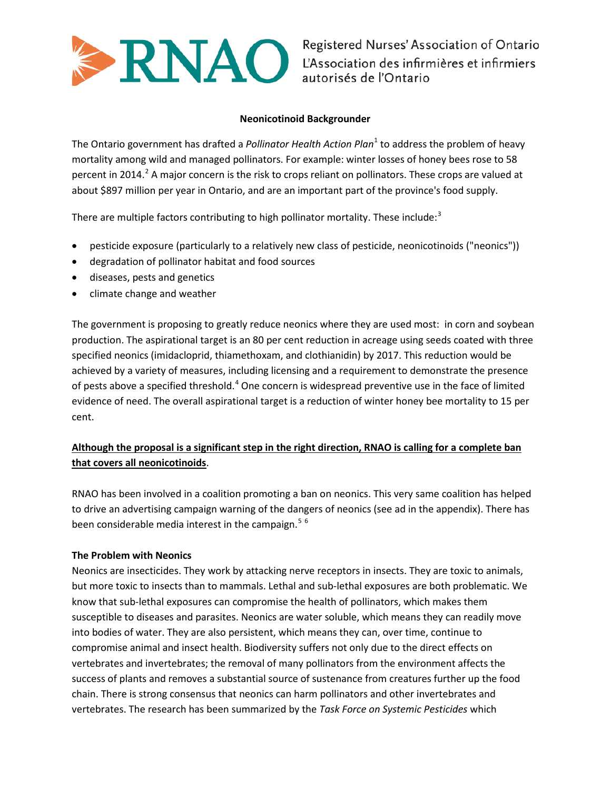

Registered Nurses' Association of Ontario PRINTAO Registered Nurses' Association of Ontario autorisés de l'Ontario

### **Neonicotinoid Backgrounder**

The Ontario government has drafted a *Pollinator Health Action Plan*[1](#page-7-0) to address the problem of heavy mortality among wild and managed pollinators. For example: winter losses of honey bees rose to 58 percent in [2](#page-7-1)014.<sup>2</sup> A major concern is the risk to crops reliant on pollinators. These crops are valued at about \$897 million per year in Ontario, and are an important part of the province's food supply.

There are multiple factors contributing to high pollinator mortality. These include: $3$ 

- pesticide exposure (particularly to a relatively new class of pesticide, neonicotinoids ("neonics"))
- degradation of pollinator habitat and food sources
- diseases, pests and genetics
- climate change and weather

The government is proposing to greatly reduce neonics where they are used most: in corn and soybean production. The aspirational target is an 80 per cent reduction in acreage using seeds coated with three specified neonics (imidacloprid, thiamethoxam, and clothianidin) by 2017. This reduction would be achieved by a variety of measures, including licensing and a requirement to demonstrate the presence of pests above a specified threshold.<sup>[4](#page-7-3)</sup> One concern is widespread preventive use in the face of limited evidence of need. The overall aspirational target is a reduction of winter honey bee mortality to 15 per cent.

# **Although the proposal is a significant step in the right direction, RNAO is calling for a complete ban that covers all neonicotinoids**.

RNAO has been involved in a coalition promoting a ban on neonics. This very same coalition has helped to drive an advertising campaign warning of the dangers of neonics (see ad in the appendix). There has been considerable media interest in the campaign.<sup>[5](#page-7-4)[6](#page-7-5)</sup>

## **The Problem with Neonics**

Neonics are insecticides. They work by attacking nerve receptors in insects. They are toxic to animals, but more toxic to insects than to mammals. Lethal and sub-lethal exposures are both problematic. We know that sub-lethal exposures can compromise the health of pollinators, which makes them susceptible to diseases and parasites. Neonics are water soluble, which means they can readily move into bodies of water. They are also persistent, which means they can, over time, continue to compromise animal and insect health. Biodiversity suffers not only due to the direct effects on vertebrates and invertebrates; the removal of many pollinators from the environment affects the success of plants and removes a substantial source of sustenance from creatures further up the food chain. There is strong consensus that neonics can harm pollinators and other invertebrates and vertebrates. The research has been summarized by the *Task Force on Systemic Pesticides* which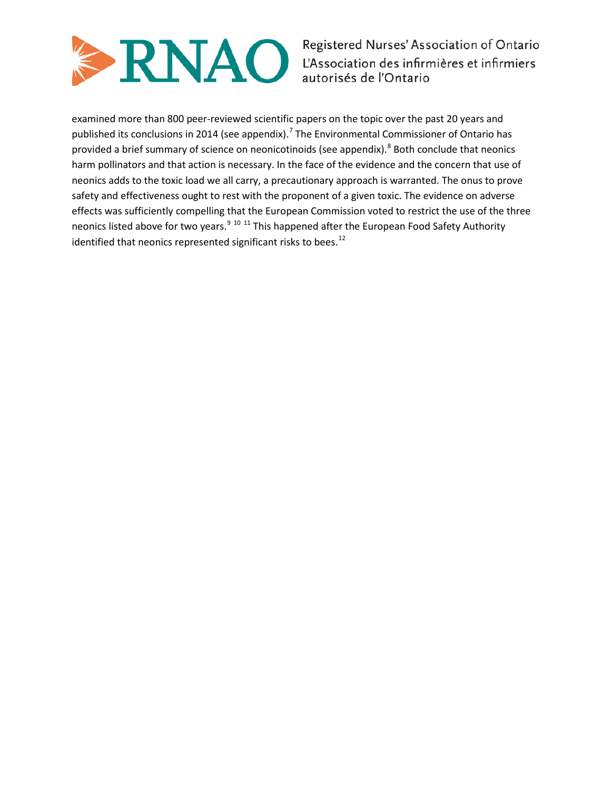

Registered Nurses' Association of Ontario

examined more than 800 peer-reviewed scientific papers on the topic over the past 20 years and published its conclusions in 2014 (see appendix).<sup>[7](#page-7-6)</sup> The Environmental Commissioner of Ontario has provided a brief summary of science on neonicotinoids (see appendix).<sup>[8](#page-7-7)</sup> Both conclude that neonics harm pollinators and that action is necessary. In the face of the evidence and the concern that use of neonics adds to the toxic load we all carry, a precautionary approach is warranted. The onus to prove safety and effectiveness ought to rest with the proponent of a given toxic. The evidence on adverse effects was sufficiently compelling that the European Commission voted to restrict the use of the three neonics listed above for two years.<sup>[9](#page-7-8) [10](#page-7-9) [11](#page-7-10)</sup> This happened after the European Food Safety Authority identified that neonics represented significant risks to bees. $^{12}$  $^{12}$  $^{12}$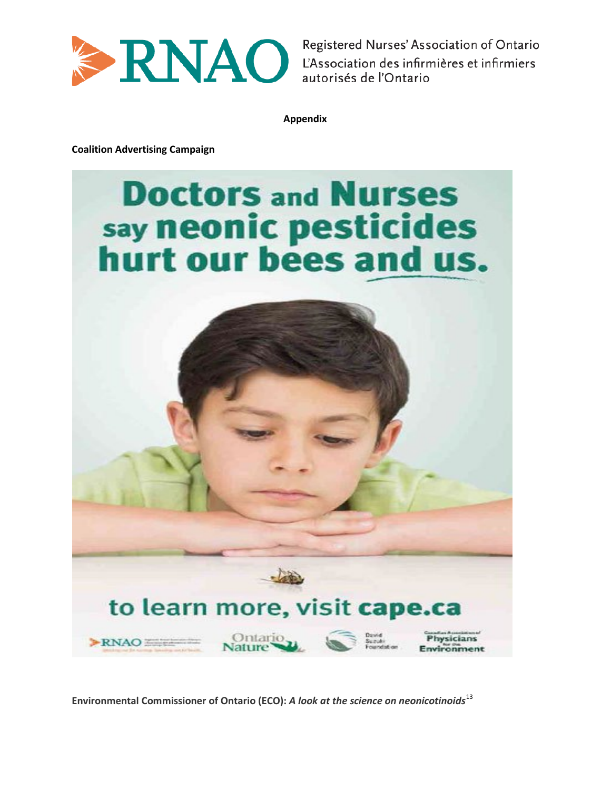

**Appendix**

**Coalition Advertising Campaign**



**Environmental Commissioner of Ontario (ECO):** *A look at the science on neonicotinoids*[13](#page-7-12)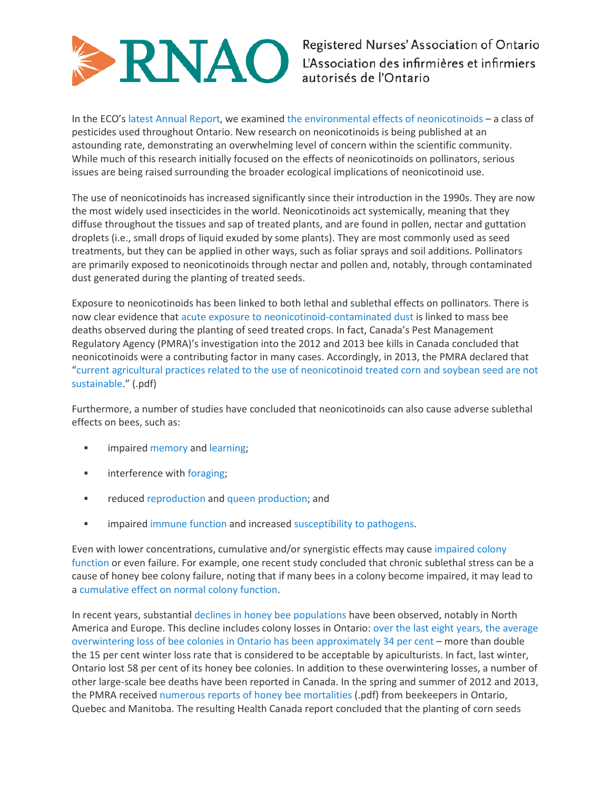

In the ECO'[s latest Annual Report,](http://www.eco.on.ca/index.php/en_US/pubs/annual-reports-and-supplements/2014-managing-new-challenges) we examined [the environmental effects of neonicotinoids](http://ecoissues.ca/index.php/Bees_and_Neonicotinoids) – a class of pesticides used throughout Ontario. New research on neonicotinoids is being published at an astounding rate, demonstrating an overwhelming level of concern within the scientific community. While much of this research initially focused on the effects of neonicotinoids on pollinators, serious issues are being raised surrounding the broader ecological implications of neonicotinoid use.

The use of neonicotinoids has increased significantly since their introduction in the 1990s. They are now the most widely used insecticides in the world. Neonicotinoids act systemically, meaning that they diffuse throughout the tissues and sap of treated plants, and are found in pollen, nectar and guttation droplets (i.e., small drops of liquid exuded by some plants). They are most commonly used as seed treatments, but they can be applied in other ways, such as foliar sprays and soil additions. Pollinators are primarily exposed to neonicotinoids through nectar and pollen and, notably, through contaminated dust generated during the planting of treated seeds.

Exposure to neonicotinoids has been linked to both lethal and sublethal effects on pollinators. There is now clear evidence tha[t acute exposure to neonicotinoid-contaminated dust](http://pubs.acs.org/doi/abs/10.1021/es2035152) is linked to mass bee deaths observed during the planting of seed treated crops. In fact, Canada's Pest Management Regulatory Agency (PMRA)'s investigation into the 2012 and 2013 bee kills in Canada concluded that neonicotinoids were a contributing factor in many cases. Accordingly, in 2013, the PMRA declared that ["current agricultural practices related to the use of neonicotinoid treated corn and soybean seed are not](http://www.hc-sc.gc.ca/cps-spc/alt_formats/pdf/pubs/pest/_fact-fiche/bee_mortality-mortalite_abeille-eng.pdf)  [sustainable.](http://www.hc-sc.gc.ca/cps-spc/alt_formats/pdf/pubs/pest/_fact-fiche/bee_mortality-mortalite_abeille-eng.pdf)" (.pdf)

Furthermore, a number of studies have concluded that neonicotinoids can also cause adverse sublethal effects on bees, such as:

- **impaire[d memory](http://www.sciencedirect.com/science/article/pii/S0048357503001469) and [learning;](http://www.plosone.org/article/info%3Adoi%2F10.1371%2Fjournal.pone.0049472)**
- **interference with [foraging;](http://www.sciencemag.org/content/336/6079/348)**
- **Fig. 2** reduced [reproduction](http://link.springer.com/article/10.1007%2Fs10646-012-0927-y) and [queen production;](http://www.sciencemag.org/content/336/6079/351) and
- **·** impaire[d immune function](http://www.pnas.org/content/110/46/18466) and increased [susceptibility to pathogens.](http://www.ncbi.nlm.nih.gov/pmc/articles/PMC2847190/)

Even with lower concentrations, cumulative and/or synergistic effects may cause [impaired colony](http://www.nature.com/nature/journal/v491/n7422/full/nature11585.html)  [function](http://www.nature.com/nature/journal/v491/n7422/full/nature11585.html) or even failure. For example, one recent study concluded that chronic sublethal stress can be a cause of honey bee colony failure, noting that if many bees in a colony become impaired, it may lead to a [cumulative effect on normal colony function.](http://onlinelibrary.wiley.com/doi/10.1111/ele.12188/abstract)

In recent years, substantial [declines in honey bee populations](http://www.sciencedirect.com/science/article/pii/S0169534710000364) have been observed, notably in North America and Europe. This decline includes colony losses in Ontario: [over the last eight years, the average](http://www.capabees.com/2014/07/24/capa-statement-on-honey-bees/)  [overwintering loss of bee colonies in Ontario has been approximately 34 per cent](http://www.capabees.com/2014/07/24/capa-statement-on-honey-bees/) – more than double the 15 per cent winter loss rate that is considered to be acceptable by apiculturists. In fact, last winter, Ontario lost 58 per cent of its honey bee colonies. In addition to these overwintering losses, a number of other large-scale bee deaths have been reported in Canada. In the spring and summer of 2012 and 2013, the PMRA received [numerous reports of honey bee mortalities](http://www.hc-sc.gc.ca/cps-spc/alt_formats/pdf/pubs/pest/_fact-fiche/bee_mortality-mortalite_abeille-eng.pdf) (.pdf) from beekeepers in Ontario, Quebec and Manitoba. The resulting Health Canada report concluded that the planting of corn seeds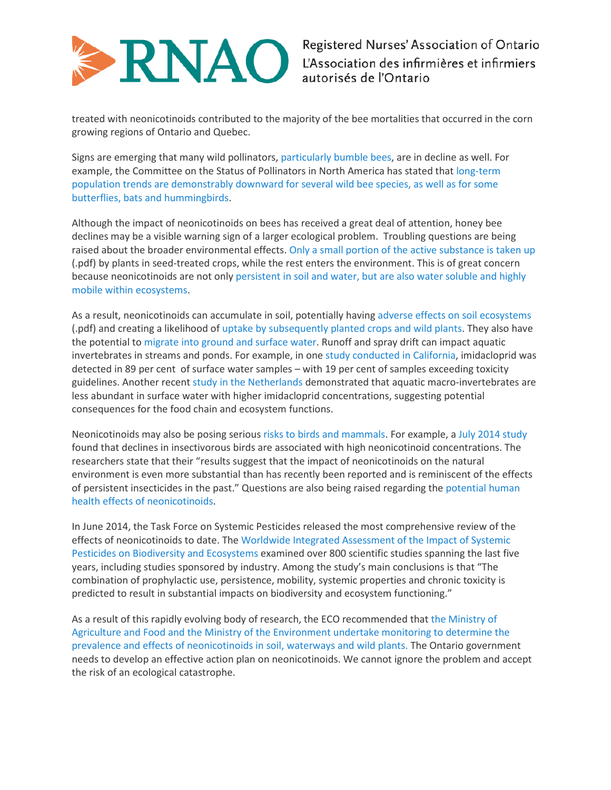

treated with neonicotinoids contributed to the majority of the bee mortalities that occurred in the corn growing regions of Ontario and Quebec.

Signs are emerging that many wild pollinators[, particularly bumble bees,](http://www.pnas.org/content/108/2/662) are in decline as well. For example, the Committee on the Status of Pollinators in North America has stated that [long-term](http://www.nap.edu/catalog.php?record_id=11761)  [population trends are demonstrably downward for several wild bee species, as well as for some](http://www.nap.edu/catalog.php?record_id=11761)  [butterflies, bats and hummingbirds.](http://www.nap.edu/catalog.php?record_id=11761)

Although the impact of neonicotinoids on bees has received a great deal of attention, honey bee declines may be a visible warning sign of a larger ecological problem. Troubling questions are being raised about the broader environmental effects. [Only a small portion of the active substance is taken up](http://www.bulletinofinsectology.org/pdfarticles/vol56-2003-035-040sur.pdf) (.pdf) by plants in seed-treated crops, while the rest enters the environment. This is of great concern because neonicotinoids are not only [persistent in soil and water, but are also water soluble and highly](http://onlinelibrary.wiley.com/doi/10.1111/1365-2664.12111/abstract)  [mobile within ecosystems.](http://onlinelibrary.wiley.com/doi/10.1111/1365-2664.12111/abstract)

As a result, neonicotinoids can accumulate in soil, potentially havin[g adverse effects on soil ecosystems](http://www.plantprotection.pl/PDF/53(4)/JPPR_53(4)_11_El-Naggar.pdf) (.pdf) and creating a likelihood o[f uptake by subsequently planted crops and wild plants.](http://www.plosone.org/article/info%3Adoi%2F10.1371%2Fjournal.pone.0029268) They also have the potential t[o migrate into ground and surface water.](http://onlinelibrary.wiley.com/doi/10.1111/1365-2664.12111/abstract) Runoff and spray drift can impact aquatic invertebrates in streams and ponds. For example, in one [study conducted in California,](http://link.springer.com/article/10.1007%2Fs00128-011-0515-5) imidacloprid was detected in 89 per cent of surface water samples – with 19 per cent of samples exceeding toxicity guidelines. Another recent [study in the Netherlands](http://www.plosone.org/article/info%3Adoi%2F10.1371%2Fjournal.pone.0062374) demonstrated that aquatic macro-invertebrates are less abundant in surface water with higher imidacloprid concentrations, suggesting potential consequences for the food chain and ecosystem functions.

Neonicotinoids may also be posing serious [risks to birds and mammals.](http://onlinelibrary.wiley.com/doi/10.1111/1365-2664.12111/abstract) For example, [a July 2014 study](http://www.nature.com/nature/journal/v511/n7509/full/nature13531.html) found that declines in insectivorous birds are associated with high neonicotinoid concentrations. The researchers state that their "results suggest that the impact of neonicotinoids on the natural environment is even more substantial than has recently been reported and is reminiscent of the effects of persistent insecticides in the past." Questions are also being raised regarding the [potential human](http://www.efsa.europa.eu/en/press/news/131217.htm)  [health effects of neonicotinoids.](http://www.efsa.europa.eu/en/press/news/131217.htm)

In June 2014, the Task Force on Systemic Pesticides released the most comprehensive review of the effects of neonicotinoids to date. Th[e Worldwide Integrated Assessment of the Impact of Systemic](http://www.tfsp.info/worldwide-integrated-assessment/)  [Pesticides on Biodiversity and Ecosystems](http://www.tfsp.info/worldwide-integrated-assessment/) examined over 800 scientific studies spanning the last five years, including studies sponsored by industry. Among the study's main conclusions is that "The combination of prophylactic use, persistence, mobility, systemic properties and chronic toxicity is predicted to result in substantial impacts on biodiversity and ecosystem functioning."

As a result of this rapidly evolving body of research, the ECO recommended that [the Ministry of](http://ecoissues.ca/index.php/Bees_and_Neonicotinoids#ECO_COMMENT)  [Agriculture and Food and the Ministry of the Environment undertake monitoring to determine the](http://ecoissues.ca/index.php/Bees_and_Neonicotinoids#ECO_COMMENT)  prevalence and effects of [neonicotinoids in soil, waterways and wild plants.](http://ecoissues.ca/index.php/Bees_and_Neonicotinoids#ECO_COMMENT) The Ontario government needs to develop an effective action plan on neonicotinoids. We cannot ignore the problem and accept the risk of an ecological catastrophe.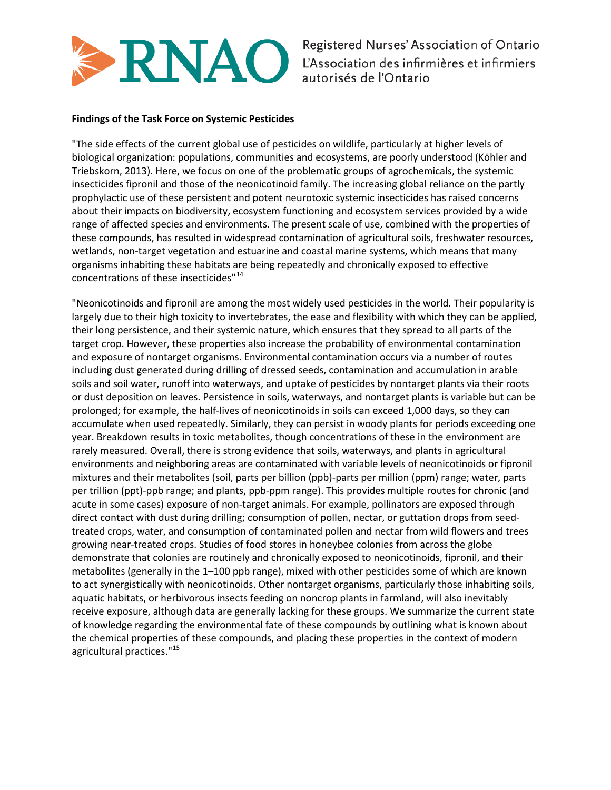

### **Findings of the Task Force on Systemic Pesticides**

"The side effects of the current global use of pesticides on wildlife, particularly at higher levels of biological organization: populations, communities and ecosystems, are poorly understood (Köhler and Triebskorn, 2013). Here, we focus on one of the problematic groups of agrochemicals, the systemic insecticides fipronil and those of the neonicotinoid family. The increasing global reliance on the partly prophylactic use of these persistent and potent neurotoxic systemic insecticides has raised concerns about their impacts on biodiversity, ecosystem functioning and ecosystem services provided by a wide range of affected species and environments. The present scale of use, combined with the properties of these compounds, has resulted in widespread contamination of agricultural soils, freshwater resources, wetlands, non-target vegetation and estuarine and coastal marine systems, which means that many organisms inhabiting these habitats are being repeatedly and chronically exposed to effective concentrations of these insecticides"<sup>[14](#page-7-13)</sup>

"Neonicotinoids and fipronil are among the most widely used pesticides in the world. Their popularity is largely due to their high toxicity to invertebrates, the ease and flexibility with which they can be applied, their long persistence, and their systemic nature, which ensures that they spread to all parts of the target crop. However, these properties also increase the probability of environmental contamination and exposure of nontarget organisms. Environmental contamination occurs via a number of routes including dust generated during drilling of dressed seeds, contamination and accumulation in arable soils and soil water, runoff into waterways, and uptake of pesticides by nontarget plants via their roots or dust deposition on leaves. Persistence in soils, waterways, and nontarget plants is variable but can be prolonged; for example, the half-lives of neonicotinoids in soils can exceed 1,000 days, so they can accumulate when used repeatedly. Similarly, they can persist in woody plants for periods exceeding one year. Breakdown results in toxic metabolites, though concentrations of these in the environment are rarely measured. Overall, there is strong evidence that soils, waterways, and plants in agricultural environments and neighboring areas are contaminated with variable levels of neonicotinoids or fipronil mixtures and their metabolites (soil, parts per billion (ppb)-parts per million (ppm) range; water, parts per trillion (ppt)-ppb range; and plants, ppb-ppm range). This provides multiple routes for chronic (and acute in some cases) exposure of non-target animals. For example, pollinators are exposed through direct contact with dust during drilling; consumption of pollen, nectar, or guttation drops from seedtreated crops, water, and consumption of contaminated pollen and nectar from wild flowers and trees growing near-treated crops. Studies of food stores in honeybee colonies from across the globe demonstrate that colonies are routinely and chronically exposed to neonicotinoids, fipronil, and their metabolites (generally in the 1–100 ppb range), mixed with other pesticides some of which are known to act synergistically with neonicotinoids. Other nontarget organisms, particularly those inhabiting soils, aquatic habitats, or herbivorous insects feeding on noncrop plants in farmland, will also inevitably receive exposure, although data are generally lacking for these groups. We summarize the current state of knowledge regarding the environmental fate of these compounds by outlining what is known about the chemical properties of these compounds, and placing these properties in the context of modern agricultural practices."<sup>[15](#page-7-14)</sup>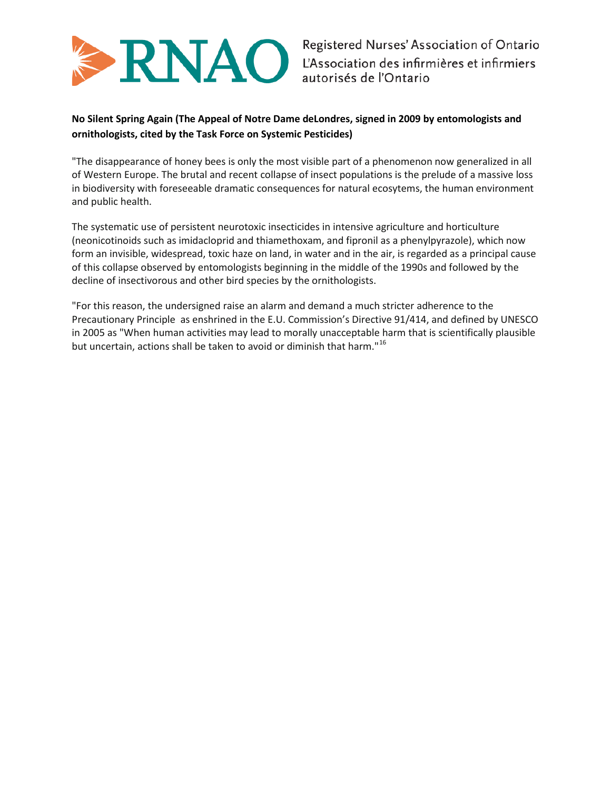

## **No Silent Spring Again (The Appeal of Notre Dame deLondres, signed in 2009 by entomologists and ornithologists, cited by the Task Force on Systemic Pesticides)**

"The disappearance of honey bees is only the most visible part of a phenomenon now generalized in all of Western Europe. The brutal and recent collapse of insect populations is the prelude of a massive loss in biodiversity with foreseeable dramatic consequences for natural ecosytems, the human environment and public health.

The systematic use of persistent neurotoxic insecticides in intensive agriculture and horticulture (neonicotinoids such as imidacloprid and thiamethoxam, and fipronil as a phenylpyrazole), which now form an invisible, widespread, toxic haze on land, in water and in the air, is regarded as a principal cause of this collapse observed by entomologists beginning in the middle of the 1990s and followed by the decline of insectivorous and other bird species by the ornithologists.

"For this reason, the undersigned raise an alarm and demand a much stricter adherence to the Precautionary Principle as enshrined in the E.U. Commission's Directive 91/414, and defined by UNESCO in 2005 as "When human activities may lead to morally unacceptable harm that is scientifically plausible but uncertain, actions shall be taken to avoid or diminish that harm."<sup>[16](#page-7-15)</sup>